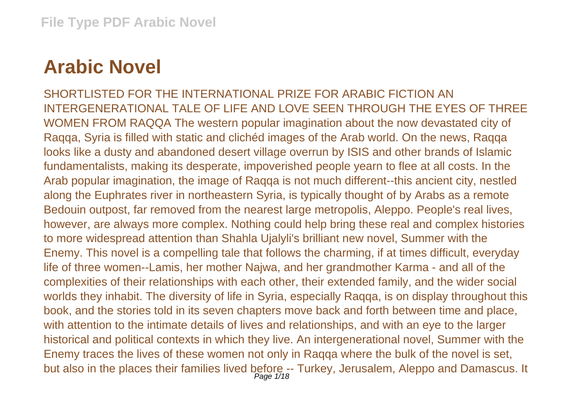## **Arabic Novel**

SHORTLISTED FOR THE INTERNATIONAL PRIZE FOR ARABIC FICTION AN INTERGENERATIONAL TALE OF LIFE AND LOVE SEEN THROUGH THE EYES OF THREE WOMEN FROM RAQQA The western popular imagination about the now devastated city of Raqqa, Syria is filled with static and clichéd images of the Arab world. On the news, Raqqa looks like a dusty and abandoned desert village overrun by ISIS and other brands of Islamic fundamentalists, making its desperate, impoverished people yearn to flee at all costs. In the Arab popular imagination, the image of Raqqa is not much different--this ancient city, nestled along the Euphrates river in northeastern Syria, is typically thought of by Arabs as a remote Bedouin outpost, far removed from the nearest large metropolis, Aleppo. People's real lives, however, are always more complex. Nothing could help bring these real and complex histories to more widespread attention than Shahla Ujalyli's brilliant new novel, Summer with the Enemy. This novel is a compelling tale that follows the charming, if at times difficult, everyday life of three women--Lamis, her mother Najwa, and her grandmother Karma - and all of the complexities of their relationships with each other, their extended family, and the wider social worlds they inhabit. The diversity of life in Syria, especially Raqqa, is on display throughout this book, and the stories told in its seven chapters move back and forth between time and place, with attention to the intimate details of lives and relationships, and with an eye to the larger historical and political contexts in which they live. An intergenerational novel, Summer with the Enemy traces the lives of these women not only in Raqqa where the bulk of the novel is set, but also in the places their families lived before -- Turkey, Jerusalem, Aleppo and Damascus. It Page 1/18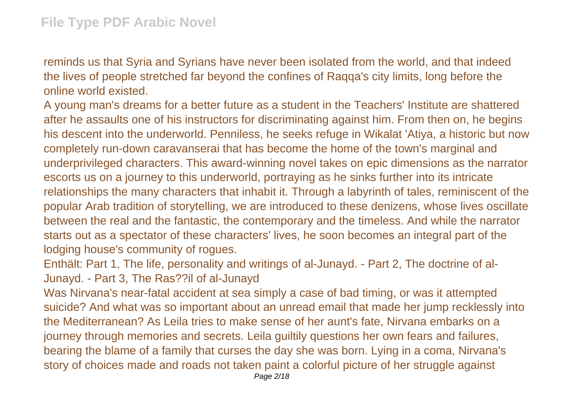reminds us that Syria and Syrians have never been isolated from the world, and that indeed the lives of people stretched far beyond the confines of Raqqa's city limits, long before the online world existed.

A young man's dreams for a better future as a student in the Teachers' Institute are shattered after he assaults one of his instructors for discriminating against him. From then on, he begins his descent into the underworld. Penniless, he seeks refuge in Wikalat 'Atiya, a historic but now completely run-down caravanserai that has become the home of the town's marginal and underprivileged characters. This award-winning novel takes on epic dimensions as the narrator escorts us on a journey to this underworld, portraying as he sinks further into its intricate relationships the many characters that inhabit it. Through a labyrinth of tales, reminiscent of the popular Arab tradition of storytelling, we are introduced to these denizens, whose lives oscillate between the real and the fantastic, the contemporary and the timeless. And while the narrator starts out as a spectator of these characters' lives, he soon becomes an integral part of the lodging house's community of rogues.

Enthält: Part 1, The life, personality and writings of al-Junayd. - Part 2, The doctrine of al-Junayd. - Part 3, The Ras??il of al-Junayd

Was Nirvana's near-fatal accident at sea simply a case of bad timing, or was it attempted suicide? And what was so important about an unread email that made her jump recklessly into the Mediterranean? As Leila tries to make sense of her aunt's fate, Nirvana embarks on a journey through memories and secrets. Leila guiltily questions her own fears and failures, bearing the blame of a family that curses the day she was born. Lying in a coma, Nirvana's story of choices made and roads not taken paint a colorful picture of her struggle against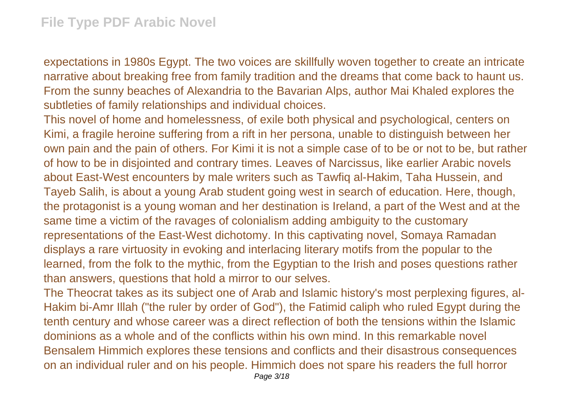expectations in 1980s Egypt. The two voices are skillfully woven together to create an intricate narrative about breaking free from family tradition and the dreams that come back to haunt us. From the sunny beaches of Alexandria to the Bavarian Alps, author Mai Khaled explores the subtleties of family relationships and individual choices.

This novel of home and homelessness, of exile both physical and psychological, centers on Kimi, a fragile heroine suffering from a rift in her persona, unable to distinguish between her own pain and the pain of others. For Kimi it is not a simple case of to be or not to be, but rather of how to be in disjointed and contrary times. Leaves of Narcissus, like earlier Arabic novels about East-West encounters by male writers such as Tawfiq al-Hakim, Taha Hussein, and Tayeb Salih, is about a young Arab student going west in search of education. Here, though, the protagonist is a young woman and her destination is Ireland, a part of the West and at the same time a victim of the ravages of colonialism adding ambiguity to the customary representations of the East-West dichotomy. In this captivating novel, Somaya Ramadan displays a rare virtuosity in evoking and interlacing literary motifs from the popular to the learned, from the folk to the mythic, from the Egyptian to the Irish and poses questions rather than answers, questions that hold a mirror to our selves.

The Theocrat takes as its subject one of Arab and Islamic history's most perplexing figures, al-Hakim bi-Amr Illah ("the ruler by order of God"), the Fatimid caliph who ruled Egypt during the tenth century and whose career was a direct reflection of both the tensions within the Islamic dominions as a whole and of the conflicts within his own mind. In this remarkable novel Bensalem Himmich explores these tensions and conflicts and their disastrous consequences on an individual ruler and on his people. Himmich does not spare his readers the full horror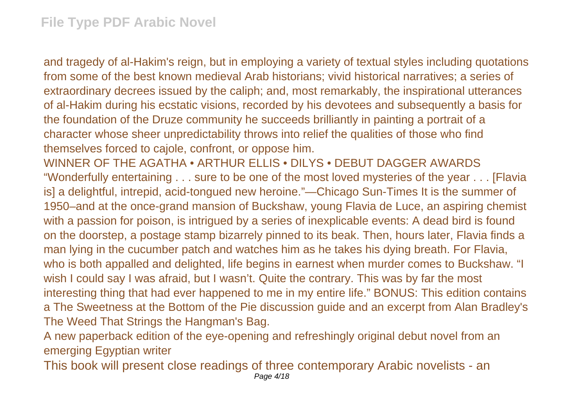and tragedy of al-Hakim's reign, but in employing a variety of textual styles including quotations from some of the best known medieval Arab historians; vivid historical narratives; a series of extraordinary decrees issued by the caliph; and, most remarkably, the inspirational utterances of al-Hakim during his ecstatic visions, recorded by his devotees and subsequently a basis for the foundation of the Druze community he succeeds brilliantly in painting a portrait of a character whose sheer unpredictability throws into relief the qualities of those who find themselves forced to cajole, confront, or oppose him.

WINNER OF THE AGATHA • ARTHUR ELLIS • DILYS • DEBUT DAGGER AWARDS "Wonderfully entertaining . . . sure to be one of the most loved mysteries of the year . . . [Flavia is] a delightful, intrepid, acid-tongued new heroine."—Chicago Sun-Times It is the summer of 1950–and at the once-grand mansion of Buckshaw, young Flavia de Luce, an aspiring chemist with a passion for poison, is intrigued by a series of inexplicable events: A dead bird is found on the doorstep, a postage stamp bizarrely pinned to its beak. Then, hours later, Flavia finds a man lying in the cucumber patch and watches him as he takes his dying breath. For Flavia, who is both appalled and delighted, life begins in earnest when murder comes to Buckshaw. "I wish I could say I was afraid, but I wasn't. Quite the contrary. This was by far the most interesting thing that had ever happened to me in my entire life." BONUS: This edition contains a The Sweetness at the Bottom of the Pie discussion guide and an excerpt from Alan Bradley's The Weed That Strings the Hangman's Bag.

A new paperback edition of the eye-opening and refreshingly original debut novel from an emerging Egyptian writer

This book will present close readings of three contemporary Arabic novelists - an Page 4/18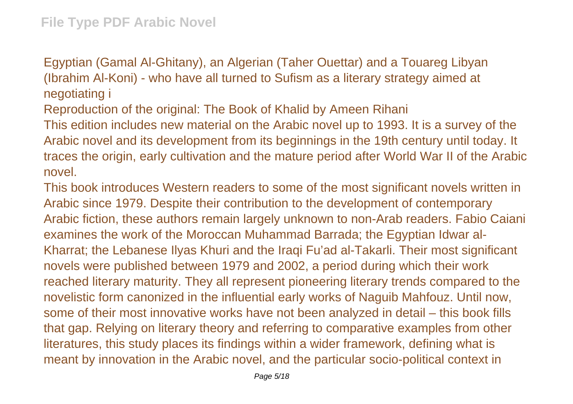Egyptian (Gamal Al-Ghitany), an Algerian (Taher Ouettar) and a Touareg Libyan (Ibrahim Al-Koni) - who have all turned to Sufism as a literary strategy aimed at negotiating i

Reproduction of the original: The Book of Khalid by Ameen Rihani

This edition includes new material on the Arabic novel up to 1993. It is a survey of the Arabic novel and its development from its beginnings in the 19th century until today. It traces the origin, early cultivation and the mature period after World War II of the Arabic novel.

This book introduces Western readers to some of the most significant novels written in Arabic since 1979. Despite their contribution to the development of contemporary Arabic fiction, these authors remain largely unknown to non-Arab readers. Fabio Caiani examines the work of the Moroccan Muhammad Barrada; the Egyptian Idwar al-Kharrat; the Lebanese Ilyas Khuri and the Iraqi Fu'ad al-Takarli. Their most significant novels were published between 1979 and 2002, a period during which their work reached literary maturity. They all represent pioneering literary trends compared to the novelistic form canonized in the influential early works of Naguib Mahfouz. Until now, some of their most innovative works have not been analyzed in detail – this book fills that gap. Relying on literary theory and referring to comparative examples from other literatures, this study places its findings within a wider framework, defining what is meant by innovation in the Arabic novel, and the particular socio-political context in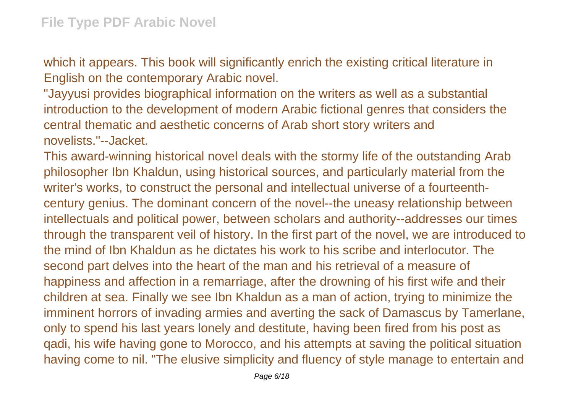which it appears. This book will significantly enrich the existing critical literature in English on the contemporary Arabic novel.

"Jayyusi provides biographical information on the writers as well as a substantial introduction to the development of modern Arabic fictional genres that considers the central thematic and aesthetic concerns of Arab short story writers and novelists."--Jacket.

This award-winning historical novel deals with the stormy life of the outstanding Arab philosopher Ibn Khaldun, using historical sources, and particularly material from the writer's works, to construct the personal and intellectual universe of a fourteenthcentury genius. The dominant concern of the novel--the uneasy relationship between intellectuals and political power, between scholars and authority--addresses our times through the transparent veil of history. In the first part of the novel, we are introduced to the mind of Ibn Khaldun as he dictates his work to his scribe and interlocutor. The second part delves into the heart of the man and his retrieval of a measure of happiness and affection in a remarriage, after the drowning of his first wife and their children at sea. Finally we see Ibn Khaldun as a man of action, trying to minimize the imminent horrors of invading armies and averting the sack of Damascus by Tamerlane, only to spend his last years lonely and destitute, having been fired from his post as qadi, his wife having gone to Morocco, and his attempts at saving the political situation having come to nil. "The elusive simplicity and fluency of style manage to entertain and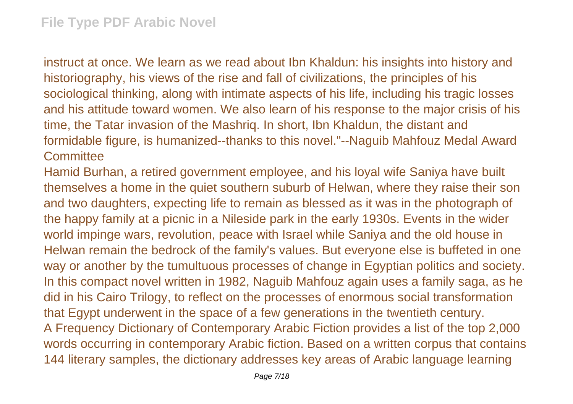instruct at once. We learn as we read about Ibn Khaldun: his insights into history and historiography, his views of the rise and fall of civilizations, the principles of his sociological thinking, along with intimate aspects of his life, including his tragic losses and his attitude toward women. We also learn of his response to the major crisis of his time, the Tatar invasion of the Mashriq. In short, Ibn Khaldun, the distant and formidable figure, is humanized--thanks to this novel."--Naguib Mahfouz Medal Award **Committee** 

Hamid Burhan, a retired government employee, and his loyal wife Saniya have built themselves a home in the quiet southern suburb of Helwan, where they raise their son and two daughters, expecting life to remain as blessed as it was in the photograph of the happy family at a picnic in a Nileside park in the early 1930s. Events in the wider world impinge wars, revolution, peace with Israel while Saniya and the old house in Helwan remain the bedrock of the family's values. But everyone else is buffeted in one way or another by the tumultuous processes of change in Egyptian politics and society. In this compact novel written in 1982, Naguib Mahfouz again uses a family saga, as he did in his Cairo Trilogy, to reflect on the processes of enormous social transformation that Egypt underwent in the space of a few generations in the twentieth century. A Frequency Dictionary of Contemporary Arabic Fiction provides a list of the top 2,000 words occurring in contemporary Arabic fiction. Based on a written corpus that contains 144 literary samples, the dictionary addresses key areas of Arabic language learning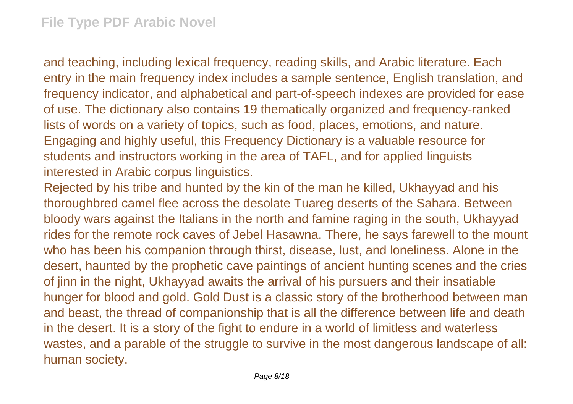and teaching, including lexical frequency, reading skills, and Arabic literature. Each entry in the main frequency index includes a sample sentence, English translation, and frequency indicator, and alphabetical and part-of-speech indexes are provided for ease of use. The dictionary also contains 19 thematically organized and frequency-ranked lists of words on a variety of topics, such as food, places, emotions, and nature. Engaging and highly useful, this Frequency Dictionary is a valuable resource for students and instructors working in the area of TAFL, and for applied linguists interested in Arabic corpus linguistics.

Rejected by his tribe and hunted by the kin of the man he killed, Ukhayyad and his thoroughbred camel flee across the desolate Tuareg deserts of the Sahara. Between bloody wars against the Italians in the north and famine raging in the south, Ukhayyad rides for the remote rock caves of Jebel Hasawna. There, he says farewell to the mount who has been his companion through thirst, disease, lust, and loneliness. Alone in the desert, haunted by the prophetic cave paintings of ancient hunting scenes and the cries of jinn in the night, Ukhayyad awaits the arrival of his pursuers and their insatiable hunger for blood and gold. Gold Dust is a classic story of the brotherhood between man and beast, the thread of companionship that is all the difference between life and death in the desert. It is a story of the fight to endure in a world of limitless and waterless wastes, and a parable of the struggle to survive in the most dangerous landscape of all: human society.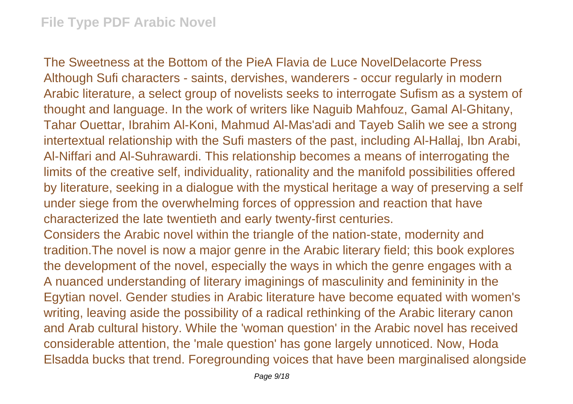The Sweetness at the Bottom of the PieA Flavia de Luce NovelDelacorte Press Although Sufi characters - saints, dervishes, wanderers - occur regularly in modern Arabic literature, a select group of novelists seeks to interrogate Sufism as a system of thought and language. In the work of writers like Naguib Mahfouz, Gamal Al-Ghitany, Tahar Ouettar, Ibrahim Al-Koni, Mahmud Al-Mas'adi and Tayeb Salih we see a strong intertextual relationship with the Sufi masters of the past, including Al-Hallaj, Ibn Arabi, Al-Niffari and Al-Suhrawardi. This relationship becomes a means of interrogating the limits of the creative self, individuality, rationality and the manifold possibilities offered by literature, seeking in a dialogue with the mystical heritage a way of preserving a self under siege from the overwhelming forces of oppression and reaction that have characterized the late twentieth and early twenty-first centuries.

Considers the Arabic novel within the triangle of the nation-state, modernity and tradition.The novel is now a major genre in the Arabic literary field; this book explores the development of the novel, especially the ways in which the genre engages with a A nuanced understanding of literary imaginings of masculinity and femininity in the Egytian novel. Gender studies in Arabic literature have become equated with women's writing, leaving aside the possibility of a radical rethinking of the Arabic literary canon and Arab cultural history. While the 'woman question' in the Arabic novel has received considerable attention, the 'male question' has gone largely unnoticed. Now, Hoda Elsadda bucks that trend. Foregrounding voices that have been marginalised alongside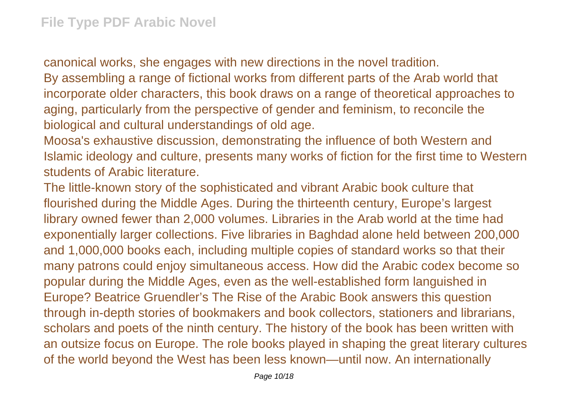canonical works, she engages with new directions in the novel tradition. By assembling a range of fictional works from different parts of the Arab world that incorporate older characters, this book draws on a range of theoretical approaches to aging, particularly from the perspective of gender and feminism, to reconcile the biological and cultural understandings of old age.

Moosa's exhaustive discussion, demonstrating the influence of both Western and Islamic ideology and culture, presents many works of fiction for the first time to Western students of Arabic literature.

The little-known story of the sophisticated and vibrant Arabic book culture that flourished during the Middle Ages. During the thirteenth century, Europe's largest library owned fewer than 2,000 volumes. Libraries in the Arab world at the time had exponentially larger collections. Five libraries in Baghdad alone held between 200,000 and 1,000,000 books each, including multiple copies of standard works so that their many patrons could enjoy simultaneous access. How did the Arabic codex become so popular during the Middle Ages, even as the well-established form languished in Europe? Beatrice Gruendler's The Rise of the Arabic Book answers this question through in-depth stories of bookmakers and book collectors, stationers and librarians, scholars and poets of the ninth century. The history of the book has been written with an outsize focus on Europe. The role books played in shaping the great literary cultures of the world beyond the West has been less known—until now. An internationally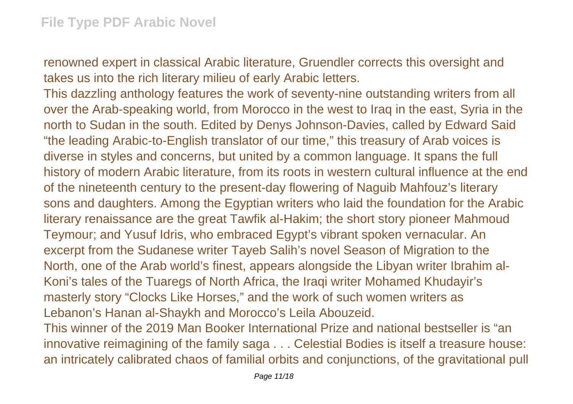renowned expert in classical Arabic literature, Gruendler corrects this oversight and takes us into the rich literary milieu of early Arabic letters.

This dazzling anthology features the work of seventy-nine outstanding writers from all over the Arab-speaking world, from Morocco in the west to Iraq in the east, Syria in the north to Sudan in the south. Edited by Denys Johnson-Davies, called by Edward Said "the leading Arabic-to-English translator of our time," this treasury of Arab voices is diverse in styles and concerns, but united by a common language. It spans the full history of modern Arabic literature, from its roots in western cultural influence at the end of the nineteenth century to the present-day flowering of Naguib Mahfouz's literary sons and daughters. Among the Egyptian writers who laid the foundation for the Arabic literary renaissance are the great Tawfik al-Hakim; the short story pioneer Mahmoud Teymour; and Yusuf Idris, who embraced Egypt's vibrant spoken vernacular. An excerpt from the Sudanese writer Tayeb Salih's novel Season of Migration to the North, one of the Arab world's finest, appears alongside the Libyan writer Ibrahim al-Koni's tales of the Tuaregs of North Africa, the Iraqi writer Mohamed Khudayir's masterly story "Clocks Like Horses," and the work of such women writers as Lebanon's Hanan al-Shaykh and Morocco's Leila Abouzeid.

This winner of the 2019 Man Booker International Prize and national bestseller is "an innovative reimagining of the family saga . . . Celestial Bodies is itself a treasure house: an intricately calibrated chaos of familial orbits and conjunctions, of the gravitational pull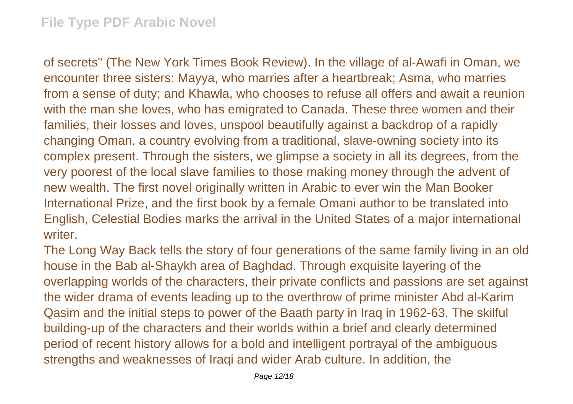of secrets" (The New York Times Book Review). In the village of al-Awafi in Oman, we encounter three sisters: Mayya, who marries after a heartbreak; Asma, who marries from a sense of duty; and Khawla, who chooses to refuse all offers and await a reunion with the man she loves, who has emigrated to Canada. These three women and their families, their losses and loves, unspool beautifully against a backdrop of a rapidly changing Oman, a country evolving from a traditional, slave-owning society into its complex present. Through the sisters, we glimpse a society in all its degrees, from the very poorest of the local slave families to those making money through the advent of new wealth. The first novel originally written in Arabic to ever win the Man Booker International Prize, and the first book by a female Omani author to be translated into English, Celestial Bodies marks the arrival in the United States of a major international writer.

The Long Way Back tells the story of four generations of the same family living in an old house in the Bab al-Shaykh area of Baghdad. Through exquisite layering of the overlapping worlds of the characters, their private conflicts and passions are set against the wider drama of events leading up to the overthrow of prime minister Abd al-Karim Qasim and the initial steps to power of the Baath party in Iraq in 1962-63. The skilful building-up of the characters and their worlds within a brief and clearly determined period of recent history allows for a bold and intelligent portrayal of the ambiguous strengths and weaknesses of Iraqi and wider Arab culture. In addition, the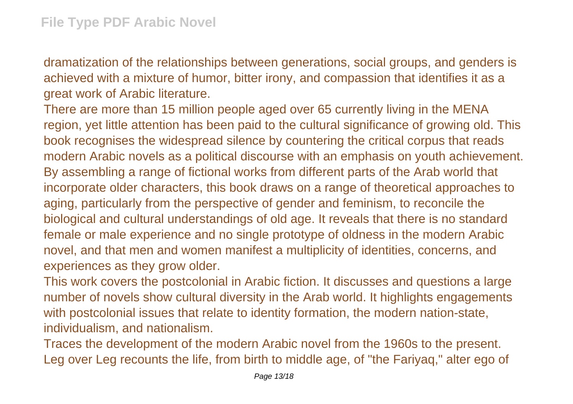dramatization of the relationships between generations, social groups, and genders is achieved with a mixture of humor, bitter irony, and compassion that identifies it as a great work of Arabic literature.

There are more than 15 million people aged over 65 currently living in the MENA region, yet little attention has been paid to the cultural significance of growing old. This book recognises the widespread silence by countering the critical corpus that reads modern Arabic novels as a political discourse with an emphasis on youth achievement. By assembling a range of fictional works from different parts of the Arab world that incorporate older characters, this book draws on a range of theoretical approaches to aging, particularly from the perspective of gender and feminism, to reconcile the biological and cultural understandings of old age. It reveals that there is no standard female or male experience and no single prototype of oldness in the modern Arabic novel, and that men and women manifest a multiplicity of identities, concerns, and experiences as they grow older.

This work covers the postcolonial in Arabic fiction. It discusses and questions a large number of novels show cultural diversity in the Arab world. It highlights engagements with postcolonial issues that relate to identity formation, the modern nation-state, individualism, and nationalism.

Traces the development of the modern Arabic novel from the 1960s to the present. Leg over Leg recounts the life, from birth to middle age, of "the Fariyaq," alter ego of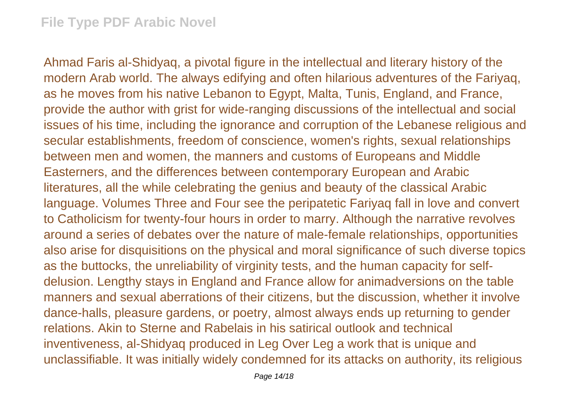Ahmad Faris al-Shidyaq, a pivotal figure in the intellectual and literary history of the modern Arab world. The always edifying and often hilarious adventures of the Fariyaq, as he moves from his native Lebanon to Egypt, Malta, Tunis, England, and France, provide the author with grist for wide-ranging discussions of the intellectual and social issues of his time, including the ignorance and corruption of the Lebanese religious and secular establishments, freedom of conscience, women's rights, sexual relationships between men and women, the manners and customs of Europeans and Middle Easterners, and the differences between contemporary European and Arabic literatures, all the while celebrating the genius and beauty of the classical Arabic language. Volumes Three and Four see the peripatetic Fariyaq fall in love and convert to Catholicism for twenty-four hours in order to marry. Although the narrative revolves around a series of debates over the nature of male-female relationships, opportunities also arise for disquisitions on the physical and moral significance of such diverse topics as the buttocks, the unreliability of virginity tests, and the human capacity for selfdelusion. Lengthy stays in England and France allow for animadversions on the table manners and sexual aberrations of their citizens, but the discussion, whether it involve dance-halls, pleasure gardens, or poetry, almost always ends up returning to gender relations. Akin to Sterne and Rabelais in his satirical outlook and technical inventiveness, al-Shidyaq produced in Leg Over Leg a work that is unique and unclassifiable. It was initially widely condemned for its attacks on authority, its religious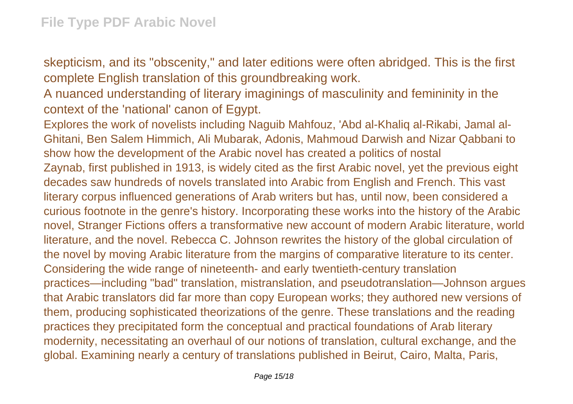skepticism, and its "obscenity," and later editions were often abridged. This is the first complete English translation of this groundbreaking work.

A nuanced understanding of literary imaginings of masculinity and femininity in the context of the 'national' canon of Egypt.

Explores the work of novelists including Naguib Mahfouz, 'Abd al-Khaliq al-Rikabi, Jamal al-Ghitani, Ben Salem Himmich, Ali Mubarak, Adonis, Mahmoud Darwish and Nizar Qabbani to show how the development of the Arabic novel has created a politics of nostal Zaynab, first published in 1913, is widely cited as the first Arabic novel, yet the previous eight decades saw hundreds of novels translated into Arabic from English and French. This vast literary corpus influenced generations of Arab writers but has, until now, been considered a curious footnote in the genre's history. Incorporating these works into the history of the Arabic novel, Stranger Fictions offers a transformative new account of modern Arabic literature, world literature, and the novel. Rebecca C. Johnson rewrites the history of the global circulation of the novel by moving Arabic literature from the margins of comparative literature to its center. Considering the wide range of nineteenth- and early twentieth-century translation practices—including "bad" translation, mistranslation, and pseudotranslation—Johnson argues that Arabic translators did far more than copy European works; they authored new versions of them, producing sophisticated theorizations of the genre. These translations and the reading practices they precipitated form the conceptual and practical foundations of Arab literary modernity, necessitating an overhaul of our notions of translation, cultural exchange, and the global. Examining nearly a century of translations published in Beirut, Cairo, Malta, Paris,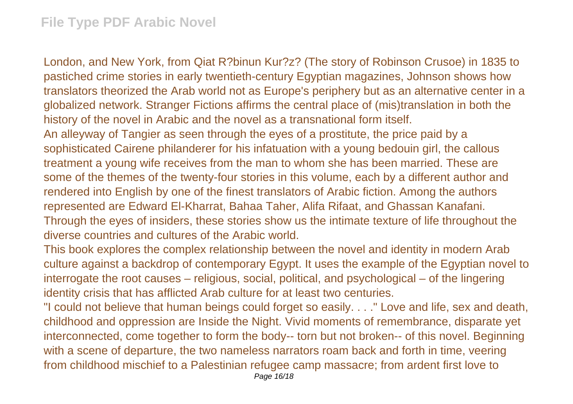London, and New York, from Qiat R?binun Kur?z? (The story of Robinson Crusoe) in 1835 to pastiched crime stories in early twentieth-century Egyptian magazines, Johnson shows how translators theorized the Arab world not as Europe's periphery but as an alternative center in a globalized network. Stranger Fictions affirms the central place of (mis)translation in both the history of the novel in Arabic and the novel as a transnational form itself. An alleyway of Tangier as seen through the eyes of a prostitute, the price paid by a sophisticated Cairene philanderer for his infatuation with a young bedouin girl, the callous treatment a young wife receives from the man to whom she has been married. These are some of the themes of the twenty-four stories in this volume, each by a different author and rendered into English by one of the finest translators of Arabic fiction. Among the authors

represented are Edward El-Kharrat, Bahaa Taher, Alifa Rifaat, and Ghassan Kanafani. Through the eyes of insiders, these stories show us the intimate texture of life throughout the diverse countries and cultures of the Arabic world.

This book explores the complex relationship between the novel and identity in modern Arab culture against a backdrop of contemporary Egypt. It uses the example of the Egyptian novel to interrogate the root causes – religious, social, political, and psychological – of the lingering identity crisis that has afflicted Arab culture for at least two centuries.

"I could not believe that human beings could forget so easily. . . ." Love and life, sex and death, childhood and oppression are Inside the Night. Vivid moments of remembrance, disparate yet interconnected, come together to form the body-- torn but not broken-- of this novel. Beginning with a scene of departure, the two nameless narrators roam back and forth in time, veering from childhood mischief to a Palestinian refugee camp massacre; from ardent first love to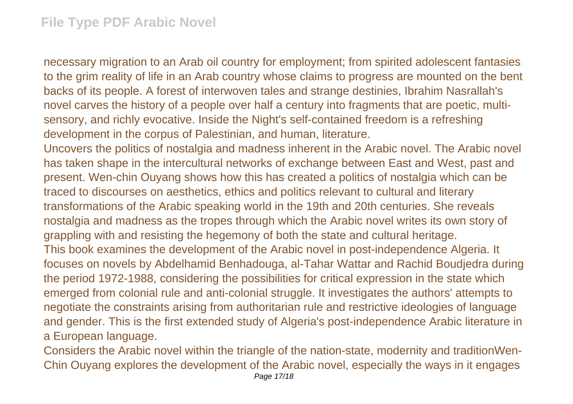necessary migration to an Arab oil country for employment; from spirited adolescent fantasies to the grim reality of life in an Arab country whose claims to progress are mounted on the bent backs of its people. A forest of interwoven tales and strange destinies, Ibrahim Nasrallah's novel carves the history of a people over half a century into fragments that are poetic, multisensory, and richly evocative. Inside the Night's self-contained freedom is a refreshing development in the corpus of Palestinian, and human, literature.

Uncovers the politics of nostalgia and madness inherent in the Arabic novel. The Arabic novel has taken shape in the intercultural networks of exchange between East and West, past and present. Wen-chin Ouyang shows how this has created a politics of nostalgia which can be traced to discourses on aesthetics, ethics and politics relevant to cultural and literary transformations of the Arabic speaking world in the 19th and 20th centuries. She reveals nostalgia and madness as the tropes through which the Arabic novel writes its own story of grappling with and resisting the hegemony of both the state and cultural heritage. This book examines the development of the Arabic novel in post-independence Algeria. It focuses on novels by Abdelhamid Benhadouga, al-Tahar Wattar and Rachid Boudjedra during the period 1972-1988, considering the possibilities for critical expression in the state which emerged from colonial rule and anti-colonial struggle. It investigates the authors' attempts to negotiate the constraints arising from authoritarian rule and restrictive ideologies of language and gender. This is the first extended study of Algeria's post-independence Arabic literature in a European language.

Considers the Arabic novel within the triangle of the nation-state, modernity and traditionWen-Chin Ouyang explores the development of the Arabic novel, especially the ways in it engages